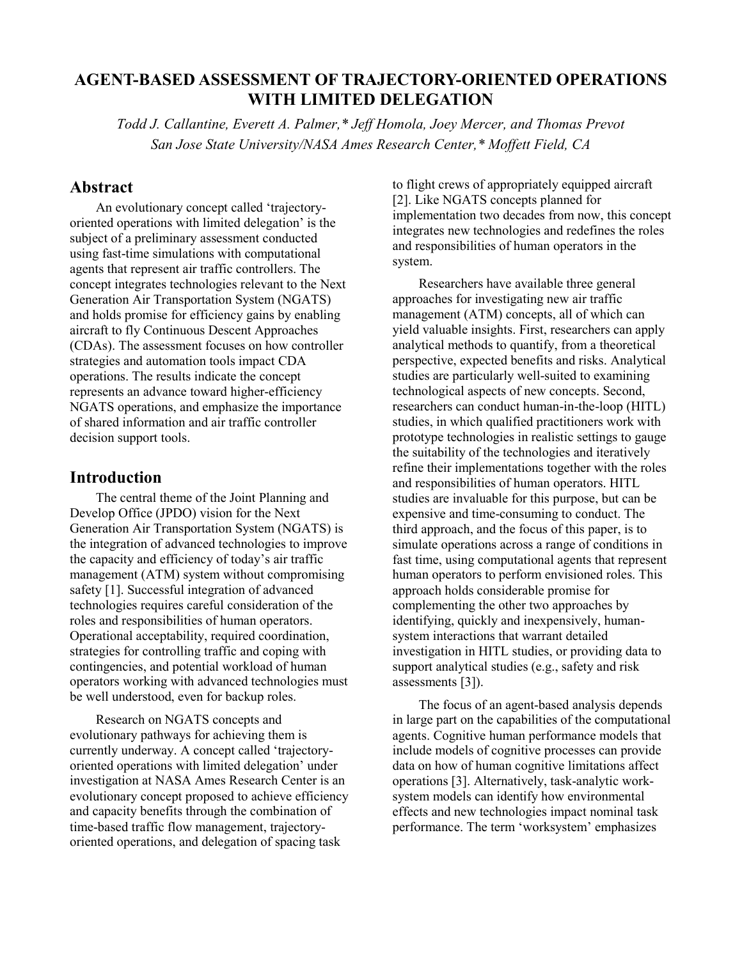# AGENT-BASED ASSESSMENT OF TRAJECTORY-ORIENTED OPERATIONS WITH LIMITED DELEGATION

Todd J. Callantine, Everett A. Palmer,\* Jeff Homola, Joey Mercer, and Thomas Prevot San Jose State University/NASA Ames Research Center,\* Moffett Field, CA

# Abstract

An evolutionary concept called 'trajectoryoriented operations with limited delegation' is the subject of a preliminary assessment conducted using fast-time simulations with computational agents that represent air traffic controllers. The concept integrates technologies relevant to the Next Generation Air Transportation System (NGATS) and holds promise for efficiency gains by enabling aircraft to fly Continuous Descent Approaches (CDAs). The assessment focuses on how controller strategies and automation tools impact CDA operations. The results indicate the concept represents an advance toward higher-efficiency NGATS operations, and emphasize the importance of shared information and air traffic controller decision support tools.

# Introduction

The central theme of the Joint Planning and Develop Office (JPDO) vision for the Next Generation Air Transportation System (NGATS) is the integration of advanced technologies to improve the capacity and efficiency of today's air traffic management (ATM) system without compromising safety [1]. Successful integration of advanced technologies requires careful consideration of the roles and responsibilities of human operators. Operational acceptability, required coordination, strategies for controlling traffic and coping with contingencies, and potential workload of human operators working with advanced technologies must be well understood, even for backup roles.

Research on NGATS concepts and evolutionary pathways for achieving them is currently underway. A concept called 'trajectoryoriented operations with limited delegation' under investigation at NASA Ames Research Center is an evolutionary concept proposed to achieve efficiency and capacity benefits through the combination of time-based traffic flow management, trajectoryoriented operations, and delegation of spacing task

to flight crews of appropriately equipped aircraft [2]. Like NGATS concepts planned for implementation two decades from now, this concept integrates new technologies and redefines the roles and responsibilities of human operators in the system.

Researchers have available three general approaches for investigating new air traffic management (ATM) concepts, all of which can yield valuable insights. First, researchers can apply analytical methods to quantify, from a theoretical perspective, expected benefits and risks. Analytical studies are particularly well-suited to examining technological aspects of new concepts. Second, researchers can conduct human-in-the-loop (HITL) studies, in which qualified practitioners work with prototype technologies in realistic settings to gauge the suitability of the technologies and iteratively refine their implementations together with the roles and responsibilities of human operators. HITL studies are invaluable for this purpose, but can be expensive and time-consuming to conduct. The third approach, and the focus of this paper, is to simulate operations across a range of conditions in fast time, using computational agents that represent human operators to perform envisioned roles. This approach holds considerable promise for complementing the other two approaches by identifying, quickly and inexpensively, humansystem interactions that warrant detailed investigation in HITL studies, or providing data to support analytical studies (e.g., safety and risk assessments [3]).

The focus of an agent-based analysis depends in large part on the capabilities of the computational agents. Cognitive human performance models that include models of cognitive processes can provide data on how of human cognitive limitations affect operations [3]. Alternatively, task-analytic worksystem models can identify how environmental effects and new technologies impact nominal task performance. The term 'worksystem' emphasizes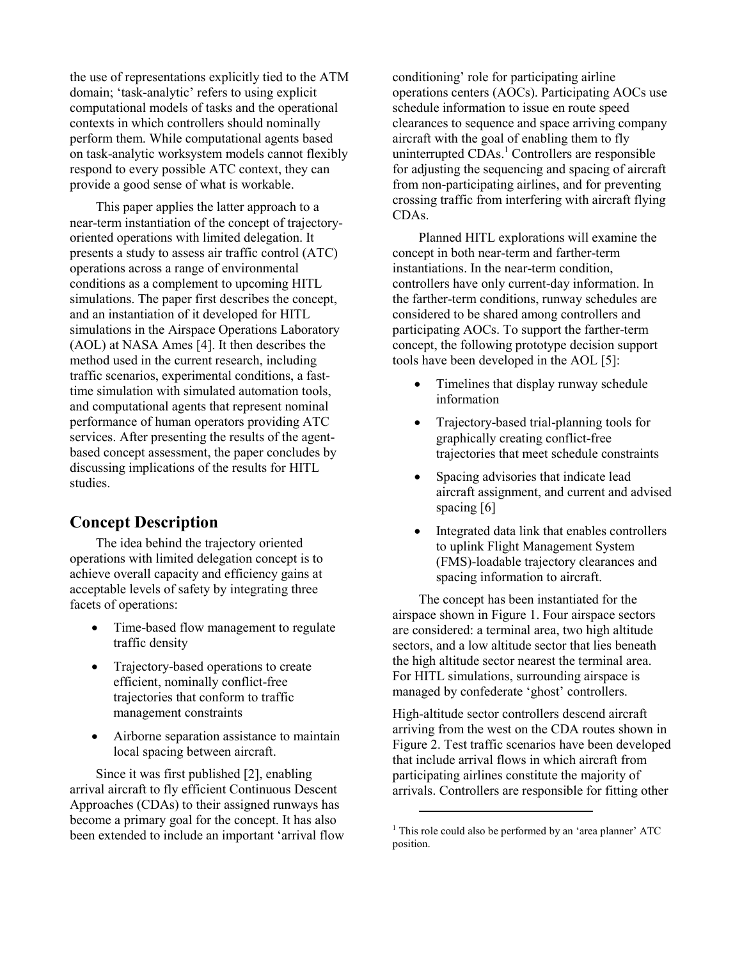the use of representations explicitly tied to the ATM domain; 'task-analytic' refers to using explicit computational models of tasks and the operational contexts in which controllers should nominally perform them. While computational agents based on task-analytic worksystem models cannot flexibly respond to every possible ATC context, they can provide a good sense of what is workable.

This paper applies the latter approach to a near-term instantiation of the concept of trajectoryoriented operations with limited delegation. It presents a study to assess air traffic control (ATC) operations across a range of environmental conditions as a complement to upcoming HITL simulations. The paper first describes the concept, and an instantiation of it developed for HITL simulations in the Airspace Operations Laboratory (AOL) at NASA Ames [4]. It then describes the method used in the current research, including traffic scenarios, experimental conditions, a fasttime simulation with simulated automation tools, and computational agents that represent nominal performance of human operators providing ATC services. After presenting the results of the agentbased concept assessment, the paper concludes by discussing implications of the results for HITL studies.

# Concept Description

The idea behind the trajectory oriented operations with limited delegation concept is to achieve overall capacity and efficiency gains at acceptable levels of safety by integrating three facets of operations:

- Time-based flow management to regulate traffic density
- Trajectory-based operations to create efficient, nominally conflict-free trajectories that conform to traffic management constraints
- Airborne separation assistance to maintain local spacing between aircraft.

Since it was first published [2], enabling arrival aircraft to fly efficient Continuous Descent Approaches (CDAs) to their assigned runways has become a primary goal for the concept. It has also been extended to include an important 'arrival flow

conditioning' role for participating airline operations centers (AOCs). Participating AOCs use schedule information to issue en route speed clearances to sequence and space arriving company aircraft with the goal of enabling them to fly uninterrupted CDAs.<sup>1</sup> Controllers are responsible for adjusting the sequencing and spacing of aircraft from non-participating airlines, and for preventing crossing traffic from interfering with aircraft flying CDAs.

Planned HITL explorations will examine the concept in both near-term and farther-term instantiations. In the near-term condition, controllers have only current-day information. In the farther-term conditions, runway schedules are considered to be shared among controllers and participating AOCs. To support the farther-term concept, the following prototype decision support tools have been developed in the AOL [5]:

- Timelines that display runway schedule information
- Trajectory-based trial-planning tools for graphically creating conflict-free trajectories that meet schedule constraints
- Spacing advisories that indicate lead aircraft assignment, and current and advised spacing [6]
- Integrated data link that enables controllers to uplink Flight Management System (FMS)-loadable trajectory clearances and spacing information to aircraft.

The concept has been instantiated for the airspace shown in Figure 1. Four airspace sectors are considered: a terminal area, two high altitude sectors, and a low altitude sector that lies beneath the high altitude sector nearest the terminal area. For HITL simulations, surrounding airspace is managed by confederate 'ghost' controllers.

High-altitude sector controllers descend aircraft arriving from the west on the CDA routes shown in Figure 2. Test traffic scenarios have been developed that include arrival flows in which aircraft from participating airlines constitute the majority of arrivals. Controllers are responsible for fitting other

 $\overline{a}$ 

<sup>&</sup>lt;sup>1</sup> This role could also be performed by an 'area planner' ATC position.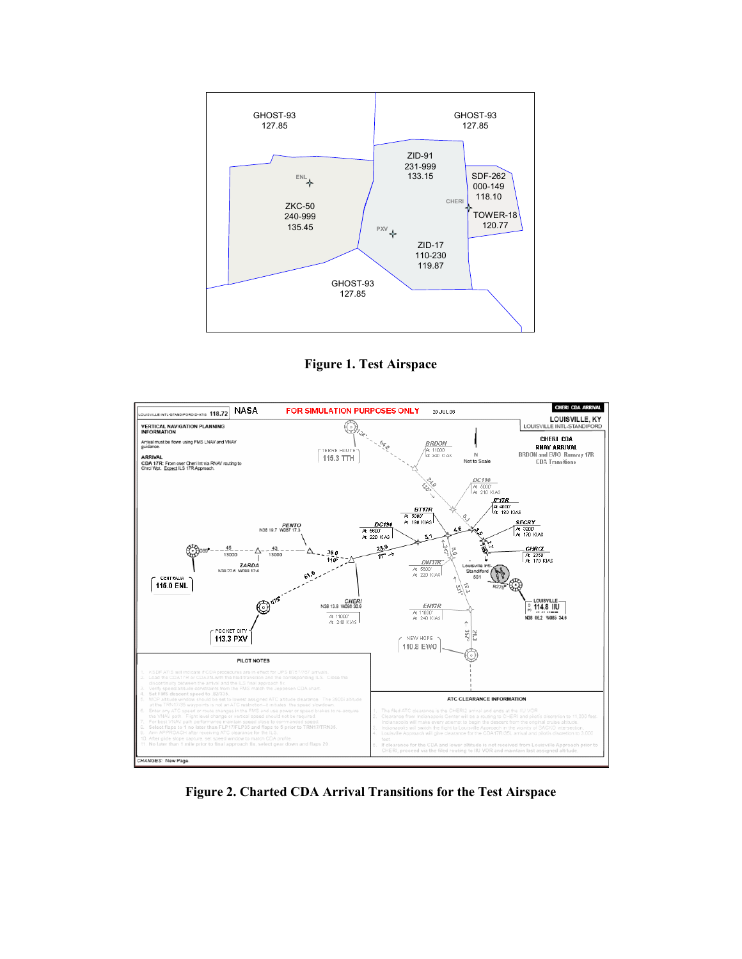

Figure 1. Test Airspace



Figure 2. Charted CDA Arrival Transitions for the Test Airspace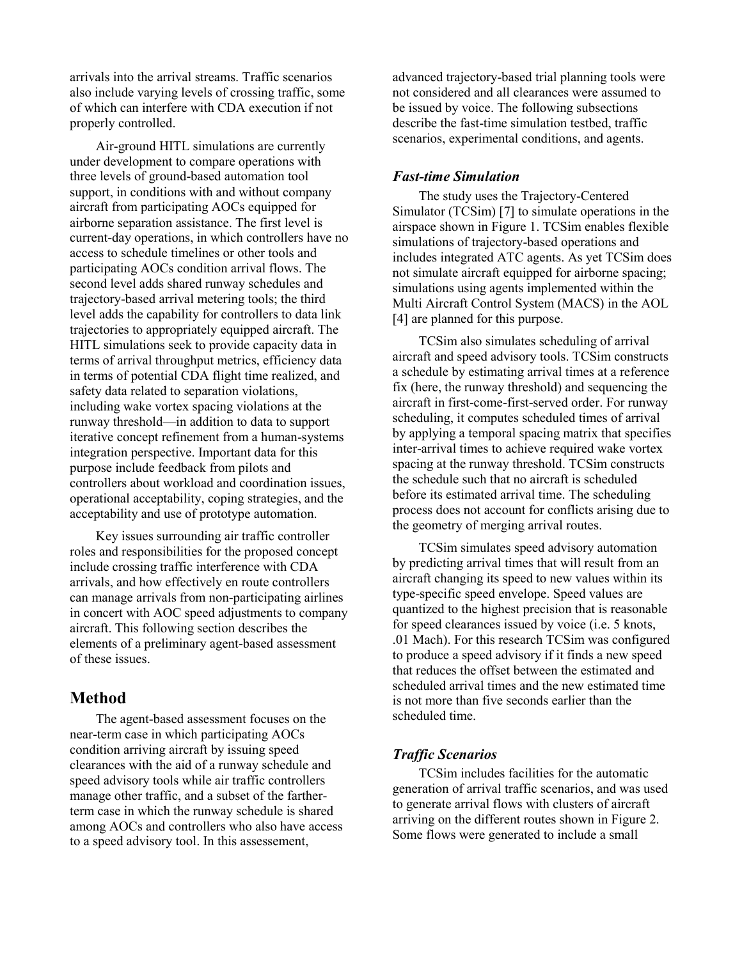arrivals into the arrival streams. Traffic scenarios also include varying levels of crossing traffic, some of which can interfere with CDA execution if not properly controlled.

Air-ground HITL simulations are currently under development to compare operations with three levels of ground-based automation tool support, in conditions with and without company aircraft from participating AOCs equipped for airborne separation assistance. The first level is current-day operations, in which controllers have no access to schedule timelines or other tools and participating AOCs condition arrival flows. The second level adds shared runway schedules and trajectory-based arrival metering tools; the third level adds the capability for controllers to data link trajectories to appropriately equipped aircraft. The HITL simulations seek to provide capacity data in terms of arrival throughput metrics, efficiency data in terms of potential CDA flight time realized, and safety data related to separation violations, including wake vortex spacing violations at the runway threshold—in addition to data to support iterative concept refinement from a human-systems integration perspective. Important data for this purpose include feedback from pilots and controllers about workload and coordination issues, operational acceptability, coping strategies, and the acceptability and use of prototype automation.

Key issues surrounding air traffic controller roles and responsibilities for the proposed concept include crossing traffic interference with CDA arrivals, and how effectively en route controllers can manage arrivals from non-participating airlines in concert with AOC speed adjustments to company aircraft. This following section describes the elements of a preliminary agent-based assessment of these issues.

# Method

The agent-based assessment focuses on the near-term case in which participating AOCs condition arriving aircraft by issuing speed clearances with the aid of a runway schedule and speed advisory tools while air traffic controllers manage other traffic, and a subset of the fartherterm case in which the runway schedule is shared among AOCs and controllers who also have access to a speed advisory tool. In this assessement,

advanced trajectory-based trial planning tools were not considered and all clearances were assumed to be issued by voice. The following subsections describe the fast-time simulation testbed, traffic scenarios, experimental conditions, and agents.

## Fast-time Simulation

The study uses the Trajectory-Centered Simulator (TCSim) [7] to simulate operations in the airspace shown in Figure 1. TCSim enables flexible simulations of trajectory-based operations and includes integrated ATC agents. As yet TCSim does not simulate aircraft equipped for airborne spacing; simulations using agents implemented within the Multi Aircraft Control System (MACS) in the AOL [4] are planned for this purpose.

TCSim also simulates scheduling of arrival aircraft and speed advisory tools. TCSim constructs a schedule by estimating arrival times at a reference fix (here, the runway threshold) and sequencing the aircraft in first-come-first-served order. For runway scheduling, it computes scheduled times of arrival by applying a temporal spacing matrix that specifies inter-arrival times to achieve required wake vortex spacing at the runway threshold. TCSim constructs the schedule such that no aircraft is scheduled before its estimated arrival time. The scheduling process does not account for conflicts arising due to the geometry of merging arrival routes.

TCSim simulates speed advisory automation by predicting arrival times that will result from an aircraft changing its speed to new values within its type-specific speed envelope. Speed values are quantized to the highest precision that is reasonable for speed clearances issued by voice (i.e. 5 knots, .01 Mach). For this research TCSim was configured to produce a speed advisory if it finds a new speed that reduces the offset between the estimated and scheduled arrival times and the new estimated time is not more than five seconds earlier than the scheduled time.

## Traffic Scenarios

TCSim includes facilities for the automatic generation of arrival traffic scenarios, and was used to generate arrival flows with clusters of aircraft arriving on the different routes shown in Figure 2. Some flows were generated to include a small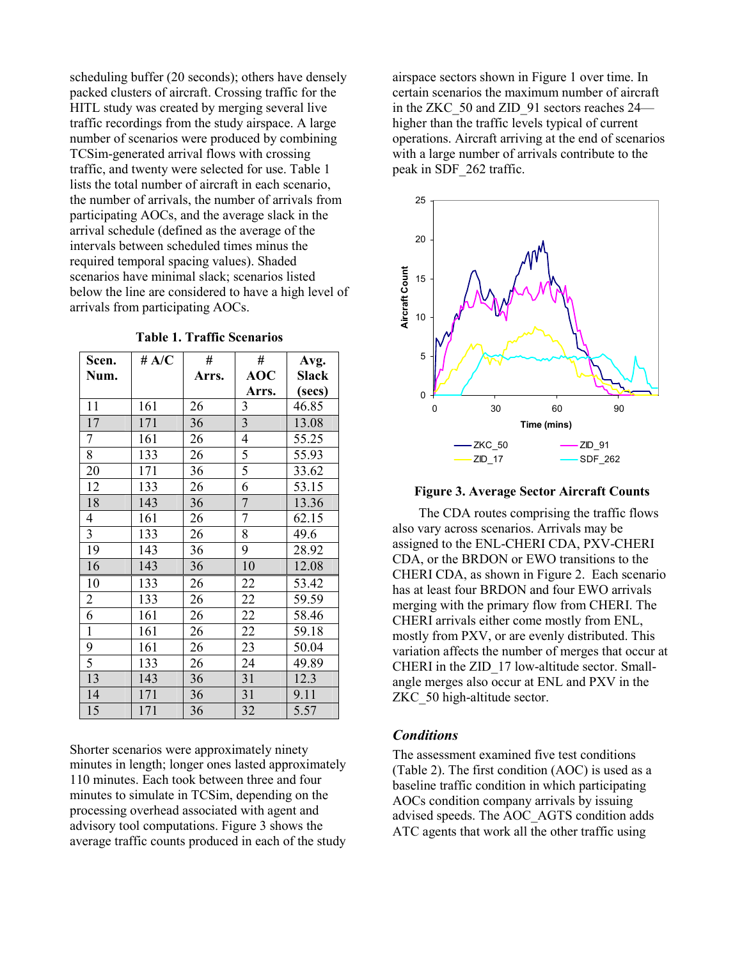scheduling buffer (20 seconds); others have densely packed clusters of aircraft. Crossing traffic for the HITL study was created by merging several live traffic recordings from the study airspace. A large number of scenarios were produced by combining TCSim-generated arrival flows with crossing traffic, and twenty were selected for use. Table 1 lists the total number of aircraft in each scenario, the number of arrivals, the number of arrivals from participating AOCs, and the average slack in the arrival schedule (defined as the average of the intervals between scheduled times minus the required temporal spacing values). Shaded scenarios have minimal slack; scenarios listed below the line are considered to have a high level of arrivals from participating AOCs.

| <b>Table 1. Traffic Scenarios</b> |  |
|-----------------------------------|--|
|-----------------------------------|--|

| Scen.          | # A/C | #     | #                       | Avg.         |
|----------------|-------|-------|-------------------------|--------------|
| Num.           |       | Arrs. | <b>AOC</b>              | <b>Slack</b> |
|                |       |       | Arrs.                   | (secs)       |
| 11             | 161   | 26    | $\mathfrak{Z}$          | 46.85        |
| 17             | 171   | 36    | $\overline{\mathbf{3}}$ | 13.08        |
| 7              | 161   | 26    | $\overline{4}$          | 55.25        |
| 8              | 133   | 26    | 5                       | 55.93        |
| 20             | 171   | 36    | 5                       | 33.62        |
| 12             | 133   | 26    | 6                       | 53.15        |
| 18             | 143   | 36    | $\overline{7}$          | 13.36        |
| 4              | 161   | 26    | 7                       | 62.15        |
| 3              | 133   | 26    | 8                       | 49.6         |
| 19             | 143   | 36    | 9                       | 28.92        |
| 16             | 143   | 36    | 10                      | 12.08        |
| 10             | 133   | 26    | 22                      | 53.42        |
| $\overline{c}$ | 133   | 26    | 22                      | 59.59        |
| 6              | 161   | 26    | 22                      | 58.46        |
| $\mathbf{1}$   | 161   | 26    | 22                      | 59.18        |
| 9              | 161   | 26    | 23                      | 50.04        |
| 5              | 133   | 26    | 24                      | 49.89        |
| 13             | 143   | 36    | 31                      | 12.3         |
| 14             | 171   | 36    | 31                      | 9.11         |
| 15             | 171   | 36    | 32                      | 5.57         |

Shorter scenarios were approximately ninety minutes in length; longer ones lasted approximately 110 minutes. Each took between three and four minutes to simulate in TCSim, depending on the processing overhead associated with agent and advisory tool computations. Figure 3 shows the average traffic counts produced in each of the study

airspace sectors shown in Figure 1 over time. In certain scenarios the maximum number of aircraft in the ZKC\_50 and ZID\_91 sectors reaches 24 higher than the traffic levels typical of current operations. Aircraft arriving at the end of scenarios with a large number of arrivals contribute to the peak in SDF\_262 traffic.



#### Figure 3. Average Sector Aircraft Counts

The CDA routes comprising the traffic flows also vary across scenarios. Arrivals may be assigned to the ENL-CHERI CDA, PXV-CHERI CDA, or the BRDON or EWO transitions to the CHERI CDA, as shown in Figure 2. Each scenario has at least four BRDON and four EWO arrivals merging with the primary flow from CHERI. The CHERI arrivals either come mostly from ENL, mostly from PXV, or are evenly distributed. This variation affects the number of merges that occur at CHERI in the ZID\_17 low-altitude sector. Smallangle merges also occur at ENL and PXV in the ZKC\_50 high-altitude sector.

### **Conditions**

The assessment examined five test conditions (Table 2). The first condition (AOC) is used as a baseline traffic condition in which participating AOCs condition company arrivals by issuing advised speeds. The AOC\_AGTS condition adds ATC agents that work all the other traffic using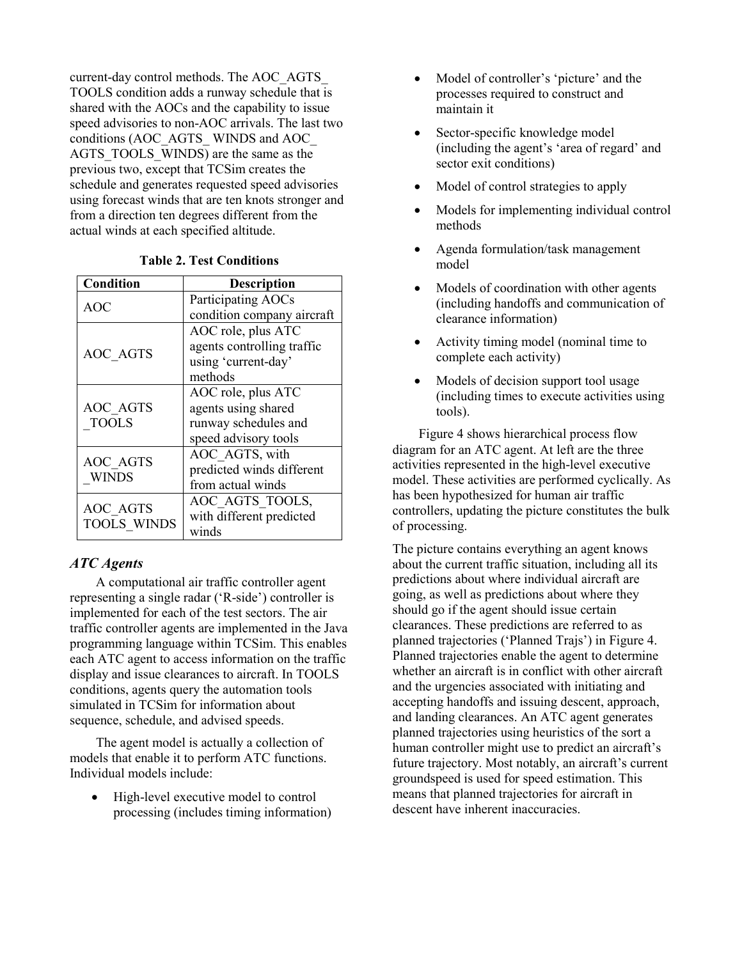current-day control methods. The AOC\_AGTS\_ TOOLS condition adds a runway schedule that is shared with the AOCs and the capability to issue speed advisories to non-AOC arrivals. The last two conditions (AOC\_AGTS\_ WINDS and AOC\_ AGTS TOOLS WINDS) are the same as the previous two, except that TCSim creates the schedule and generates requested speed advisories using forecast winds that are ten knots stronger and from a direction ten degrees different from the actual winds at each specified altitude.

| Condition                             | <b>Description</b>         |
|---------------------------------------|----------------------------|
| <b>AOC</b>                            | Participating AOCs         |
|                                       | condition company aircraft |
| AOC AGTS                              | AOC role, plus ATC         |
|                                       | agents controlling traffic |
|                                       | using 'current-day'        |
|                                       | methods                    |
| <b>AOC AGTS</b><br><b>TOOLS</b>       | AOC role, plus ATC         |
|                                       | agents using shared        |
|                                       | runway schedules and       |
|                                       | speed advisory tools       |
| <b>AOC AGTS</b><br><b>WINDS</b>       | AOC AGTS, with             |
|                                       | predicted winds different  |
|                                       | from actual winds          |
| <b>AOC AGTS</b><br><b>TOOLS WINDS</b> | AOC AGTS TOOLS,            |
|                                       | with different predicted   |
|                                       | winds                      |

### Table 2. Test Conditions

# ATC Agents

A computational air traffic controller agent representing a single radar ('R-side') controller is implemented for each of the test sectors. The air traffic controller agents are implemented in the Java programming language within TCSim. This enables each ATC agent to access information on the traffic display and issue clearances to aircraft. In TOOLS conditions, agents query the automation tools simulated in TCSim for information about sequence, schedule, and advised speeds.

The agent model is actually a collection of models that enable it to perform ATC functions. Individual models include:

• High-level executive model to control processing (includes timing information)

- Model of controller's 'picture' and the processes required to construct and maintain it
- Sector-specific knowledge model (including the agent's 'area of regard' and sector exit conditions)
- Model of control strategies to apply
- Models for implementing individual control methods
- Agenda formulation/task management model
- Models of coordination with other agents (including handoffs and communication of clearance information)
- Activity timing model (nominal time to complete each activity)
- Models of decision support tool usage (including times to execute activities using tools).

Figure 4 shows hierarchical process flow diagram for an ATC agent. At left are the three activities represented in the high-level executive model. These activities are performed cyclically. As has been hypothesized for human air traffic controllers, updating the picture constitutes the bulk of processing.

The picture contains everything an agent knows about the current traffic situation, including all its predictions about where individual aircraft are going, as well as predictions about where they should go if the agent should issue certain clearances. These predictions are referred to as planned trajectories ('Planned Trajs') in Figure 4. Planned trajectories enable the agent to determine whether an aircraft is in conflict with other aircraft and the urgencies associated with initiating and accepting handoffs and issuing descent, approach, and landing clearances. An ATC agent generates planned trajectories using heuristics of the sort a human controller might use to predict an aircraft's future trajectory. Most notably, an aircraft's current groundspeed is used for speed estimation. This means that planned trajectories for aircraft in descent have inherent inaccuracies.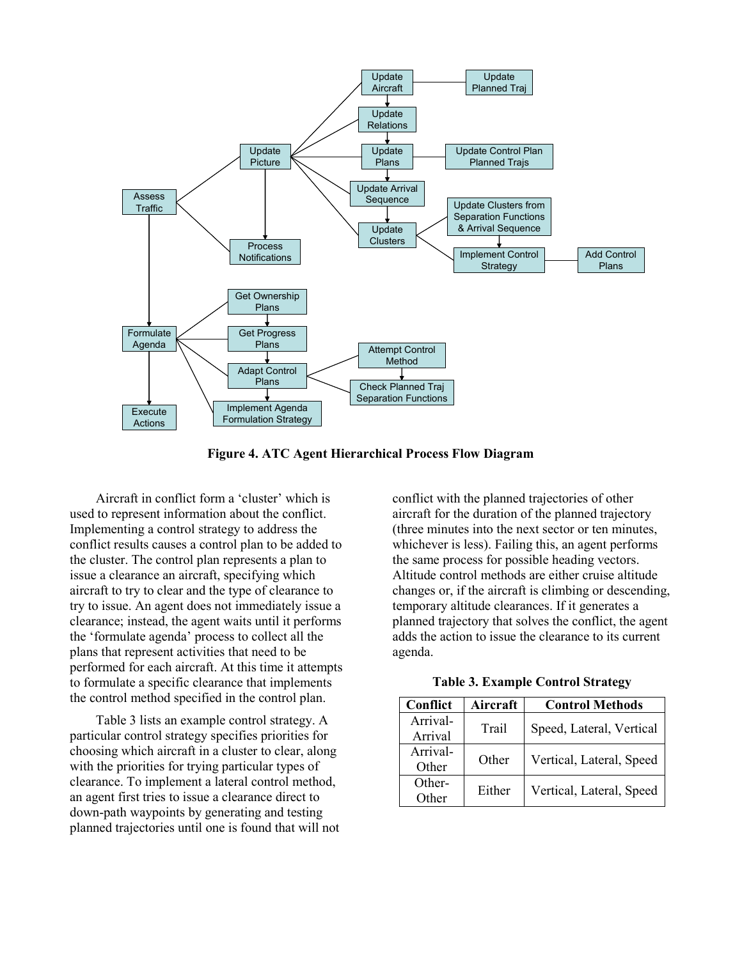

Figure 4. ATC Agent Hierarchical Process Flow Diagram

Aircraft in conflict form a 'cluster' which is used to represent information about the conflict. Implementing a control strategy to address the conflict results causes a control plan to be added to the cluster. The control plan represents a plan to issue a clearance an aircraft, specifying which aircraft to try to clear and the type of clearance to try to issue. An agent does not immediately issue a clearance; instead, the agent waits until it performs the 'formulate agenda' process to collect all the plans that represent activities that need to be performed for each aircraft. At this time it attempts to formulate a specific clearance that implements the control method specified in the control plan.

Table 3 lists an example control strategy. A particular control strategy specifies priorities for choosing which aircraft in a cluster to clear, along with the priorities for trying particular types of clearance. To implement a lateral control method, an agent first tries to issue a clearance direct to down-path waypoints by generating and testing planned trajectories until one is found that will not

conflict with the planned trajectories of other aircraft for the duration of the planned trajectory (three minutes into the next sector or ten minutes, whichever is less). Failing this, an agent performs the same process for possible heading vectors. Altitude control methods are either cruise altitude changes or, if the aircraft is climbing or descending, temporary altitude clearances. If it generates a planned trajectory that solves the conflict, the agent adds the action to issue the clearance to its current agenda.

Table 3. Example Control Strategy

| Conflict | Aircraft | <b>Control Methods</b>   |  |  |
|----------|----------|--------------------------|--|--|
| Arrival- | Trail    | Speed, Lateral, Vertical |  |  |
| Arrival  |          |                          |  |  |
| Arrival- | Other    | Vertical, Lateral, Speed |  |  |
| Other    |          |                          |  |  |
| Other-   | Either   | Vertical, Lateral, Speed |  |  |
| Other    |          |                          |  |  |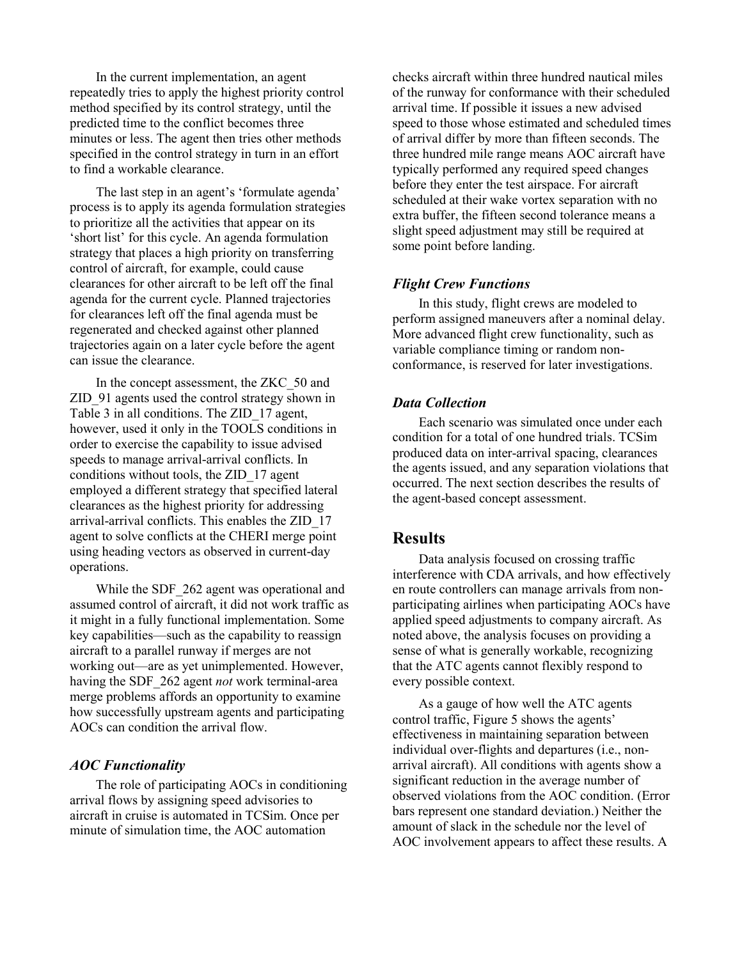In the current implementation, an agent repeatedly tries to apply the highest priority control method specified by its control strategy, until the predicted time to the conflict becomes three minutes or less. The agent then tries other methods specified in the control strategy in turn in an effort to find a workable clearance.

The last step in an agent's 'formulate agenda' process is to apply its agenda formulation strategies to prioritize all the activities that appear on its 'short list' for this cycle. An agenda formulation strategy that places a high priority on transferring control of aircraft, for example, could cause clearances for other aircraft to be left off the final agenda for the current cycle. Planned trajectories for clearances left off the final agenda must be regenerated and checked against other planned trajectories again on a later cycle before the agent can issue the clearance.

In the concept assessment, the ZKC\_50 and ZID\_91 agents used the control strategy shown in Table 3 in all conditions. The ZID 17 agent, however, used it only in the TOOLS conditions in order to exercise the capability to issue advised speeds to manage arrival-arrival conflicts. In conditions without tools, the ZID\_17 agent employed a different strategy that specified lateral clearances as the highest priority for addressing arrival-arrival conflicts. This enables the ZID\_17 agent to solve conflicts at the CHERI merge point using heading vectors as observed in current-day operations.

While the SDF 262 agent was operational and assumed control of aircraft, it did not work traffic as it might in a fully functional implementation. Some key capabilities—such as the capability to reassign aircraft to a parallel runway if merges are not working out—are as yet unimplemented. However, having the SDF 262 agent *not* work terminal-area merge problems affords an opportunity to examine how successfully upstream agents and participating AOCs can condition the arrival flow.

## AOC Functionality

The role of participating AOCs in conditioning arrival flows by assigning speed advisories to aircraft in cruise is automated in TCSim. Once per minute of simulation time, the AOC automation

checks aircraft within three hundred nautical miles of the runway for conformance with their scheduled arrival time. If possible it issues a new advised speed to those whose estimated and scheduled times of arrival differ by more than fifteen seconds. The three hundred mile range means AOC aircraft have typically performed any required speed changes before they enter the test airspace. For aircraft scheduled at their wake vortex separation with no extra buffer, the fifteen second tolerance means a slight speed adjustment may still be required at some point before landing.

#### Flight Crew Functions

In this study, flight crews are modeled to perform assigned maneuvers after a nominal delay. More advanced flight crew functionality, such as variable compliance timing or random nonconformance, is reserved for later investigations.

## Data Collection

Each scenario was simulated once under each condition for a total of one hundred trials. TCSim produced data on inter-arrival spacing, clearances the agents issued, and any separation violations that occurred. The next section describes the results of the agent-based concept assessment.

## Results

Data analysis focused on crossing traffic interference with CDA arrivals, and how effectively en route controllers can manage arrivals from nonparticipating airlines when participating AOCs have applied speed adjustments to company aircraft. As noted above, the analysis focuses on providing a sense of what is generally workable, recognizing that the ATC agents cannot flexibly respond to every possible context.

As a gauge of how well the ATC agents control traffic, Figure 5 shows the agents' effectiveness in maintaining separation between individual over-flights and departures (i.e., nonarrival aircraft). All conditions with agents show a significant reduction in the average number of observed violations from the AOC condition. (Error bars represent one standard deviation.) Neither the amount of slack in the schedule nor the level of AOC involvement appears to affect these results. A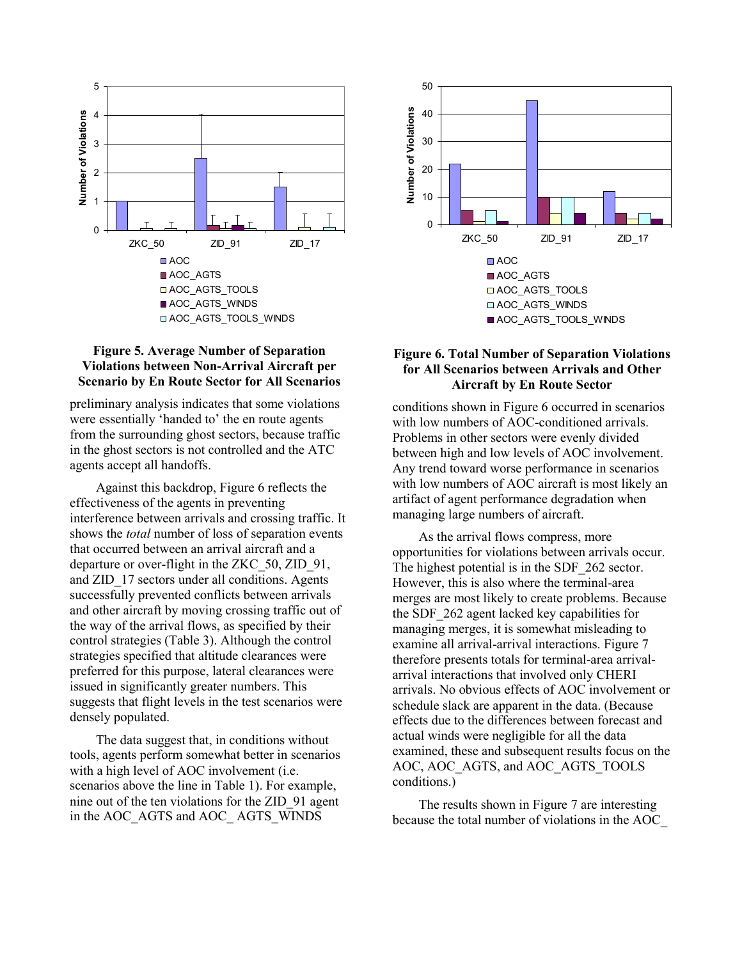

## Figure 5. Average Number of Separation Violations between Non-Arrival Aircraft per Scenario by En Route Sector for All Scenarios

preliminary analysis indicates that some violations were essentially 'handed to' the en route agents from the surrounding ghost sectors, because traffic in the ghost sectors is not controlled and the ATC agents accept all handoffs.

Against this backdrop, Figure 6 reflects the effectiveness of the agents in preventing interference between arrivals and crossing traffic. It shows the *total* number of loss of separation events that occurred between an arrival aircraft and a departure or over-flight in the ZKC\_50, ZID\_91, and ZID\_17 sectors under all conditions. Agents successfully prevented conflicts between arrivals and other aircraft by moving crossing traffic out of the way of the arrival flows, as specified by their control strategies (Table 3). Although the control strategies specified that altitude clearances were preferred for this purpose, lateral clearances were issued in significantly greater numbers. This suggests that flight levels in the test scenarios were densely populated.

The data suggest that, in conditions without tools, agents perform somewhat better in scenarios with a high level of AOC involvement *(i.e.*) scenarios above the line in Table 1). For example, nine out of the ten violations for the ZID\_91 agent in the AOC\_AGTS and AOC\_ AGTS\_WINDS



### Figure 6. Total Number of Separation Violations for All Scenarios between Arrivals and Other Aircraft by En Route Sector

conditions shown in Figure 6 occurred in scenarios with low numbers of AOC-conditioned arrivals. Problems in other sectors were evenly divided between high and low levels of AOC involvement. Any trend toward worse performance in scenarios with low numbers of AOC aircraft is most likely an artifact of agent performance degradation when managing large numbers of aircraft.

As the arrival flows compress, more opportunities for violations between arrivals occur. The highest potential is in the SDF\_262 sector. However, this is also where the terminal-area merges are most likely to create problems. Because the SDF\_262 agent lacked key capabilities for managing merges, it is somewhat misleading to examine all arrival-arrival interactions. Figure 7 therefore presents totals for terminal-area arrivalarrival interactions that involved only CHERI arrivals. No obvious effects of AOC involvement or schedule slack are apparent in the data. (Because effects due to the differences between forecast and actual winds were negligible for all the data examined, these and subsequent results focus on the AOC, AOC\_AGTS, and AOC\_AGTS\_TOOLS conditions.)

The results shown in Figure 7 are interesting because the total number of violations in the AOC\_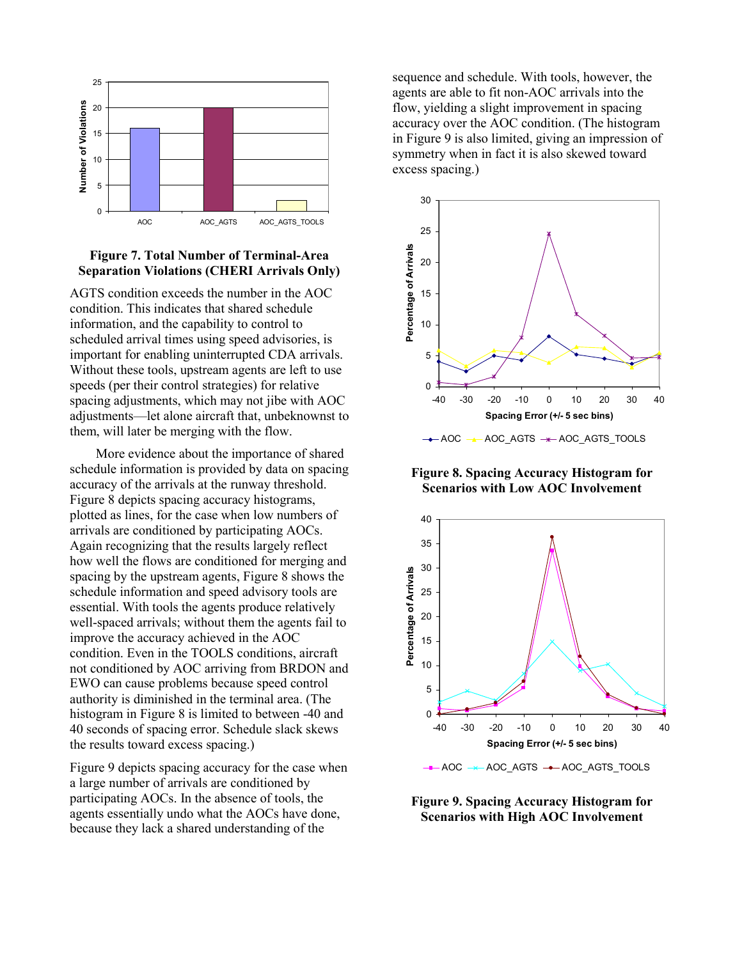

### Figure 7. Total Number of Terminal-Area Separation Violations (CHERI Arrivals Only)

AGTS condition exceeds the number in the AOC condition. This indicates that shared schedule information, and the capability to control to scheduled arrival times using speed advisories, is important for enabling uninterrupted CDA arrivals. Without these tools, upstream agents are left to use speeds (per their control strategies) for relative spacing adjustments, which may not jibe with AOC adjustments—let alone aircraft that, unbeknownst to them, will later be merging with the flow.

More evidence about the importance of shared schedule information is provided by data on spacing accuracy of the arrivals at the runway threshold. Figure 8 depicts spacing accuracy histograms, plotted as lines, for the case when low numbers of arrivals are conditioned by participating AOCs. Again recognizing that the results largely reflect how well the flows are conditioned for merging and spacing by the upstream agents, Figure 8 shows the schedule information and speed advisory tools are essential. With tools the agents produce relatively well-spaced arrivals; without them the agents fail to improve the accuracy achieved in the AOC condition. Even in the TOOLS conditions, aircraft not conditioned by AOC arriving from BRDON and EWO can cause problems because speed control authority is diminished in the terminal area. (The histogram in Figure 8 is limited to between -40 and 40 seconds of spacing error. Schedule slack skews the results toward excess spacing.)

Figure 9 depicts spacing accuracy for the case when a large number of arrivals are conditioned by participating AOCs. In the absence of tools, the agents essentially undo what the AOCs have done, because they lack a shared understanding of the

sequence and schedule. With tools, however, the agents are able to fit non-AOC arrivals into the flow, yielding a slight improvement in spacing accuracy over the AOC condition. (The histogram in Figure 9 is also limited, giving an impression of symmetry when in fact it is also skewed toward excess spacing.)



Figure 8. Spacing Accuracy Histogram for Scenarios with Low AOC Involvement



Figure 9. Spacing Accuracy Histogram for Scenarios with High AOC Involvement